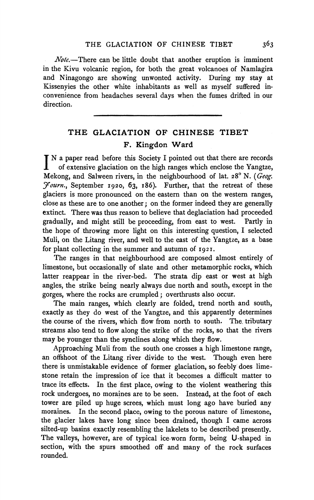Note.-There can be little doubt that another eruption is imminent in the Kivu volcanic region, for both the great volcanoes of Namlagira and Ninagongo are showing unwonted activity. During my stay at Kissenyies the other white inhabitants as well as myself suffered inconvenience from headaches several days when the fumes drifted in our direction.

## **THE GLACIATION OF CHINESE TIBET F. Kingdon Ward**

I N a paper read before this Society I pointed out that there are records of extensive glaciation on the high ranges which enclose the Yangtze, Mekong, and Salween rivers, in the neighbourhood of lat. **28'** N. (Geog.  $\textit{Fourn}$ , September 1920, 63, 186). Further, that the retreat of these glaciers is more pronounced on the eastern than on the western ranges, close as these are to one another; on the former indeed they are generally extinct. There was thus reason to believe that deglaciation had proceeded gradually, and might still be proceeding, from east to west. Partly in the hope of throwing more light on this interesting question, I selected Muli, on the Litang river, and well to the east of the Yangtze, as a base for plant collecting in the summer and autumn of **1921**.

The ranges in that neighbourhood are composed almost entirely of limestone, but occasionally of slate and other metamorphic rocks, which latter reappear in the river-bed. The strata dip east or west at high angles, the strike being nearly always due north and south, except in the gorges, where the rocks are crumpled ; overthrusts also occur.

The main ranges, which clearly are folded, trend north and south, exactly as they do west of the Yangtze, and this apparently determines the course of the rivers, which flow from north to south. The tributary streams also tend to flow along the strike of the rocks, so that the rivers may be younger than the synclines along which they flow.

Approaching Muli from the south one crosses a high limestone range, an offshoot of the Litang river divide to the west. Though even here there is unmistakable evidence of former glaciation, so feebly does limestone retain the impression of ice that it becomes a difficult matter to trace its effects. In the first place, owing to the violent weathering this rock undergoes, no moraines are to be seen. Instead, at the foot of each tower are piled up huge screes, which must long ago have buried any moraines. In the second place, owing to the porous nature of limestone, the glacier lakes have long since been drained, though I came across silted-up basins exactly resembling the lakelets to be described presently. The valleys, however, are of typical ice worn form, being U-shaped in section, with the spurs smoothed off and many of the rock surfaces rounded.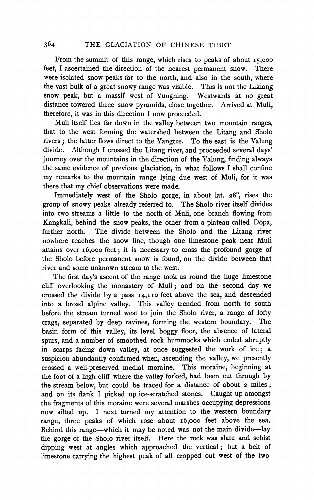From the summit of this range, which rises to peaks of about 15,000 feet, I ascertained the direction of the nearest permanent snow. There were isolated snow peaks far to the north, and also in the south, where the vast bulk of a great snowy range was visible. This is not the Likiang snow peak, but a massif west of Yungning. Westwards at no great distance towered three snow pyramids, close together. Arrived at Muli, therefore, it was in this direction I now proceeded.

Muli itself lies far down in the valley between two mountain ranges, that to the west forming the watershed between the Litang and Sholo rivers ; the latter flows direct to the Yangtze. To the east is the Yalung divide. Although I crossed the Litang river, and proceeded several days' journey over the mountains in the direction of the Yalung, finding always the same evidence of previous glaciation, in what follows I shall confine my remarks to the mountain range lying due west of Muli, for it was there that my chief observations were made.

Immediately west of the Sholo gorge, in about lat. **28",** rises the group of snowy peaks already referred to. The Sholo river itself divides into two streams a little to the north of Muli, one branch flowing from Kangkali, behind the snow peaks, the other from a plateau called Döpa, further north. The divide between the Sholo and the Litang river nowhere reaches the snow line, though one limestone peak near Muli attains over 16,000 feet; it is necessary to cross the profound gorge of the Sholo before permanent snow is found, on the divide between that river and some unknown stream to the west.

The first day's ascent of the range took us round the huge limestone cliff overlooking the monastery of Muli; and on the second day we crossed the divide by a pass 14,110 feet above the sea, and descended into a broad alpine valley. This valley trended from north to south before the stream turned west to join the Sholo river, a range of lofty crags, separated by deep ravines, forming the western boundary. The basin form of this valley, its level boggy floor, the absence of lateral spurs, and a number of smoothed rock hummocks which ended abruptly in scarps facing down valley, at once suggested the work of ice; a suspicion abundantly confirmed when, ascending the valley, we presently crossed a well-preserved medial moraine. This moraine, beginning at the foot of a high cliff where the valley forked, had been cut through by the stream below, but could be traced for a distance of about **2** miles; and on its flank I picked up ice-scratched stones. Caught up amongst the fragments of this moraine were several marshes occupying depressions now silted up. I next turned my attention to the western boundary range, three peaks of which rose about 16,000 feet above the sea. Behind this range—which it may be noted was not the main divide—lay the gorge of the Sholo river itself. Here the rock was slate and schist dipping west at angles which approached the vertical ; but a belt of limestone carrying the highest peak of all cropped out west of the two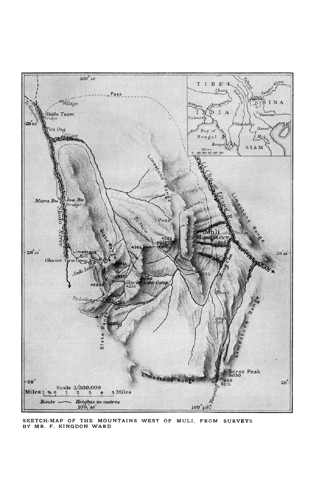

**SKETCH-MAP OF THE MOUNTAINS WEST OF MULI. FROM SURVEYS BY MR. F. KINGDON WARD**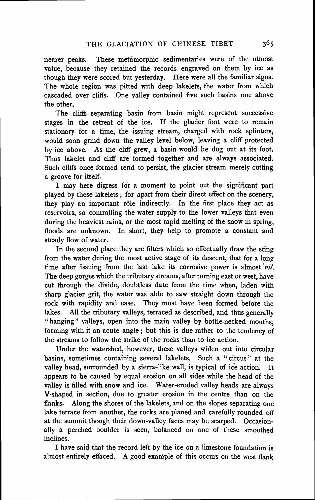nearer peaks. These metimorphic sedimentaries were of the utmost value, because they retained the records engraved on them by ice as though they were scored but yesterday. Here were all the familiar signs. The whole region was pitted with deep lakelets, the water from which cascaded over cliffs. One valley contained five such basins one above the other.

The cliffs separating basin from basin might represent successive stages in the retreat of the ice. If the glacier foot were to remain stationary for a time, the issuing stream, charged with rock splinters, would soon grind down the valley level below, leaving a cliff protected by ice above. As the cliff grew, a basin would be dug out at its foot. Thus lakelet and cliff are formed together and are always associated. Such cliffs once formed tend to persist, the glacier stream merely cutting a groove for itself.

I may here digress for a moment to point out the significant part played by these lakelets ; for apart from their direct effect on the scenery, they play an important rôle indirectly. In the first place they act as reservoirs, so controlling the water supply to the lower valleys that even during the heaviest rains, or the most rapid melting of the snow in spring, floods are unknown. In short, they help to promote a constant and steady flow of water.

In the second place they are filters which so effectually draw the sting from the water during the most active stage of its descent, that for a long time after issuing from the last lake its corrosive power is almost **'nil.**  The deep gorges which the tributary streams, after turning east or west, have cut through the divide, doubtless date from the time when, laden with sharp glacier grit, the water was able to saw straight down through the rock with rapidity and ease. They must have been formed before the lakes. All the tributary valleys, terraced as described, and thus generally "hanging" valleys, open into the main valley by bottle-necked mouths, forming with it an acute angle; but this is due rather to the tendency of the streams to follow the strike of the rocks than to ice action.

Under the watershed, however, these valleys widen out into circular basins, sometimes containing several lakelets. Such a "circus" at the valley head, surrounded by a sierra-like wall, is typical of ice action. It appears to be caused by equal erosion on all sides while the head of the valley is filled with snow and ice. Water-eroded valley heads are always V-shaped in section, due to greater erosion in the centre than on the flanks. Along the shores of the lakelets, and on the slopes separating one lake terrace from another, the rocks are planed and carefully rounded off at the summit though their down-valley faces may be scarped. Occasionally a perched boulder is seen, balanced on one of these smoothed inclines.

I have said that the record left by the ice on a limestone foundation is almost entirely effaced. A good example of this occurs on the west flank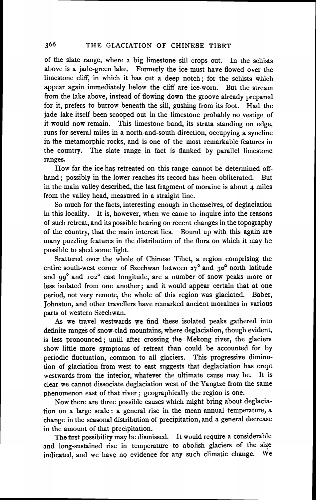of the slate range, where a big limestone sill crops out. In the schists above is a jade-green lake. Formerly the ice must have flowed over the limestone cliff, in which it has cut a deep notch; for the schists which appear again immediately below the cliff are ice-worn. But the stream from the lake above, instead of flowing down the groove already prepared for it, prefers to burrow beneath the sill, gushing from its foot. Had the jade lake itself been scooped out in the limestone probably no vestige of it would now remain. This limestone band, its strata standing on edge, runs for several miles in a north-and-south direction, occupying a syncline in the metamorphic rocks, and is one of the most remarkable features in the country. The slate range in fact is flanked by parallel limestone ranges.

How far the ice has retreated on this range cannot be determined offhand; possibly in the lower reaches its record has been obliterated. But in the main valley described, the last fragment of moraine is about 4 miles from the valley head, measured in a straight line.

So much for the facts, interesting enough in themselves, of deglaciation in this locality. It is, however, when we came to inquire into the reasons of such retreat, and its possible bearing on recent changes in the topography of the country, that the main interest lies. Bound up with this again are many puzzling features in the distribution of the flora on which it may bz possible to shed some light.

Scattered over the whole of Chinese Tibet, a region comprising the entire south-west corner of Szechwan between **27'** and *30'* north latitude and 99° and 102° east longitude, are a number of snow peaks more or less isolated from one another; and it would appear certain that at one period, not very remote, the whole of this region was glaciated. Baber, Johnston, and other travellers have remarked ancient moraines in various parts of western Szechwan.

As we travel westwards we find these isolated peaks gathered into definite ranges of snow-clad mountains, where deglaciation, though evident, is less pronounced; until after crossing the Mekong river, the glaciers show little more symptoms of retreat than could be accounted for by periodic fluctuation, common to all glaciers. This progressive diminution of glaciation from west to east suggests that deglaciation has crept westwards from the interior, whatever the ultimate cause may be. It is clear we cannot dissociate deglaciation west of the Yangtze from the same phenomenon east of that river ; geographically the region is one.

Now there are three possible causes which might bring about deglaciation on a large scale : a general rise in the mean annual temperature, a change in the seasonal distribution of precipitation, and a general decrease in the amount of that precipitation.

The first possibility may be dismissed. It would require a considerable and long-sustained rise in temperature to abolish glaciers of the size indicated, and we have no evidence for any such climatic change, We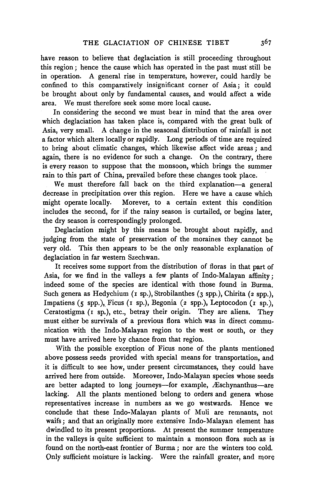have reason to believe that deglaciation is still proceeding throughout this region ; hence the cause which has operated in the past must still be in operation. A general rise in temperature, however, could hardly be confined to this comparatively insignificant corner of Asia; it could be brought about only by fundamental causes, and would affect a wide area. We must therefore seek some more local cause.

In considering the second we must bear in mind that the area over which deglaciation has taken place is, compared with the great bulk of Asia, very small. **A** change in the seasonal distribution of rainfall is not a factor which alters locally or rapidly. Long periods of time are required to bring about climatic changes, which likewise affect wide areas; and again, there is no evidence for such a change. On the contrary, there is every reason to suppose that the monsoon, which brings the summer rain to this part of China, prevailed before these changes took place.

We must therefore fall back on the third explanation-a general decrease in precipitation over this region. Here we have a cause which might operate locally. Morever, to a certain extent this condition includes the second, for if the rainy season is curtailed, or begins later, the dry season is correspondingly prolonged.

Deglaciation might by this means be brought about rapidly, and judging from the state of preservation of the moraines they cannot be very old. This then appears to be the only reasonable explanation of deglaciation in far western Szechwan.

It receives some support from the distribution of floras in that part of Asia, for we find in the valleys a few plants of Indo-Malayan affinity; indeed some of the species are identical with those found in Burma. Such genera as Hedychium **(I** sp.), Strobilanthes **(3** spp.), Chirita **(2** spp.), Impatiens (5 spp.), Ficus (1 sp.), Begonia (2 spp.), Leptocodon (1 sp.), Ceratostigma **(I** sp.), etc., betray their origin. They are aliens. They must either be survivals of a previous flora which was in direct communication with the Indo-Malayan region to the west or south, or they must have arrived here by chance from that region.

With the possible exception of Ficus none of the plants mentioned above possess seeds provided with special means for transportation, and it is difficult to see how, under present circumstances, they could have arrived here from outside. Moreover, Indo-Malayan species whose seeds are better adapted to long journeys—for example, Æschynanthus—are lacking. All the plants mentioned belong to orders and genera whose representatives increase in numbers as we go westwards. Hence we conclude that these Indo-Malayan plants of Muli are remnants, not waifs; and that an originally more extensive Indo-Malayan element has dwindled to its present proportions. At present the summer temperature in the valleys is quite sufficient to maintain a monsoon flora such as is found on the north-east frontier of Burma ; nor are the winters too cold. Only sufficient moistyre is lacking. Were the rainfall greater, and more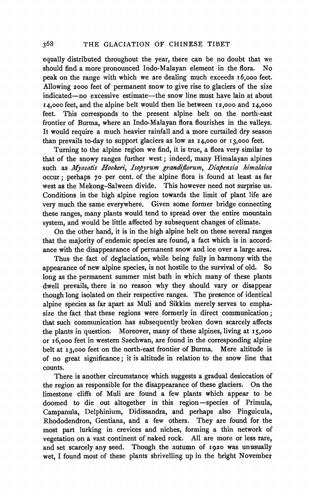equally distributed throughout the year, there can be no doubt that we should find a more pronounced Indo-Malayan element in the flora. No peak on the range with which we are dealing much exceeds 16,000 feet. Allowing 2000 feet of permanent snow to give rise to glaciers of the size indicated-no excessive estimate-the snow line must have lain at about 14,000 feet, and the alpine belt would then lie between rz,ooo and 14,000 feet. This corresponds to the present alpine belt on the north-east frontier of Burma, where an Indo-Malayan flora flourishes in the valleys. It would require a much heavier rainfall and a more curtailed dry season than prevails to-day to support glaciers as low as 14,000 or 13,ooo feet.

Turning to the alpine region we find, it is true, a flora very similar to that of the snowy ranges further west; indeed, many Himalayan alpines such as Myosotis Hookeri, Isopyrum grandiflorum, Diapensia himalaica occur; perhaps 70 per cent. of the alpine flora is found at least as far west as the Mekong-Salween divide. This however need not surprise us. Conditions in the high alpine region towards the limit of plant life are very much the same everywhere. Given some former bridge connecting these ranges, many plants would tend to spread over the entire mountain system, and would be little affected by subsequent changes of climate.

On the other hand, it is in the high alpine belt on these several ranges that the majority of endemic species are found, a fact which is in accordance with the disappearance of permanent snow and ice over a large area.

Thus the fact of deglaciation, while being fully in harmony with the appearance of new alpine species, is not hostile to the survival of old. So long as the permanent summer mist bath in which many of these plants dwell prevails, there is no reason why they should vary or disappear though long isolated on their respective ranges. The presence of identical alpine species as far apart as Muli and Sikkim merely serves to emphasize the fact that these regions were formerly in direct communication; that such communication has subsequently broken down scarcely affects the plants in question. Moreover, many of these alpines, living at 15,ooo or 16,000 feet in western Szechwan, are found in the corresponding alpine belt at 13,000 feet on the north-east frontier of Burma. Mere altitude is of no great significance; it is altitude in relation to the snow line that counts.

There is another circumstance which suggests a gradual desiccation of the region as responsible for the disappearance of these glaciers. On the limestone cliffs of Muli are found a few plants which appear to be doomed to die out altogether in this region-species of Primula, Campanula, Delphinium, Didissandra, and perhaps also Pinguicula, Rhododendron, Gentiana, and a few others. They are found for the most part lurking in crevices and niches, forming a thin network of vegetation on a vast continent of naked rock. All are more or less rare, and set scarcely any seed. Though the autumn of 1920 was unusually wet, I found most of these plants shrivelling up in the bright November